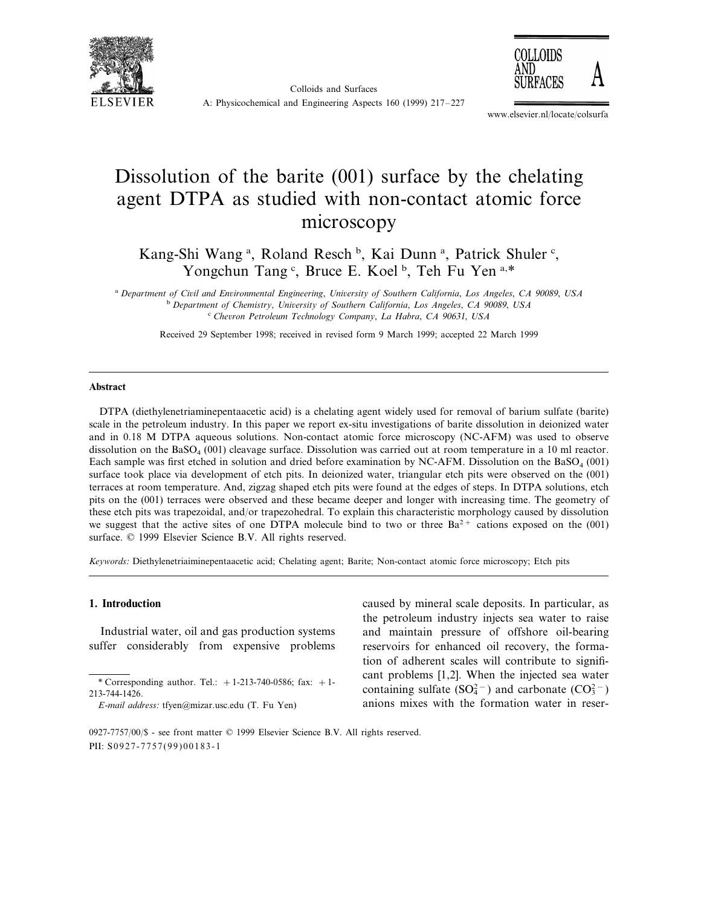





www.elsevier.nl/locate/colsurfa

# Dissolution of the barite (001) surface by the chelating agent DTPA as studied with non-contact atomic force microscopy

Kang-Shi Wang<sup>a</sup>, Roland Resch<sup>b</sup>, Kai Dunn<sup>a</sup>, Patrick Shuler<sup>c</sup>, Yongchun Tang<sup>c</sup>, Bruce E. Koel<sup>b</sup>, Teh Fu Yen<sup>a,\*</sup>

<sup>a</sup> *Department of Ci*6*il and En*6*ironmental Engineering*, *Uni*6*ersity of Southern California*, *Los Angeles*, *CA* <sup>90089</sup>, *USA* <sup>b</sup> Department of Chemistry, University of Southern California, Los Angeles, CA 90089, USA <sup>c</sup> *Che*6*ron Petroleum Technology Company*, *La Habra*, *CA* <sup>90631</sup>, *USA*

Received 29 September 1998; received in revised form 9 March 1999; accepted 22 March 1999

#### **Abstract**

DTPA (diethylenetriaminepentaacetic acid) is a chelating agent widely used for removal of barium sulfate (barite) scale in the petroleum industry. In this paper we report ex-situ investigations of barite dissolution in deionized water and in 0.18 M DTPA aqueous solutions. Non-contact atomic force microscopy (NC-AFM) was used to observe dissolution on the  $BASO<sub>4</sub>$  (001) cleavage surface. Dissolution was carried out at room temperature in a 10 ml reactor. Each sample was first etched in solution and dried before examination by NC-AFM. Dissolution on the  $BaSO<sub>4</sub>$  (001) surface took place via development of etch pits. In deionized water, triangular etch pits were observed on the (001) terraces at room temperature. And, zigzag shaped etch pits were found at the edges of steps. In DTPA solutions, etch pits on the (001) terraces were observed and these became deeper and longer with increasing time. The geometry of these etch pits was trapezoidal, and/or trapezohedral. To explain this characteristic morphology caused by dissolution we suggest that the active sites of one DTPA molecule bind to two or three  $Ba^{2+}$  cations exposed on the (001) surface. © 1999 Elsevier Science B.V. All rights reserved.

*Keywords*: Diethylenetriaiminepentaacetic acid; Chelating agent; Barite; Non-contact atomic force microscopy; Etch pits

### **1. Introduction**

Industrial water, oil and gas production systems suffer considerably from expensive problems caused by mineral scale deposits. In particular, as the petroleum industry injects sea water to raise and maintain pressure of offshore oil-bearing reservoirs for enhanced oil recovery, the formation of adherent scales will contribute to significant problems [1,2]. When the injected sea water containing sulfate  $(SO_4^{2-})$  and carbonate  $(CO_3^{2-})$ anions mixes with the formation water in reser-

<sup>\*</sup> Corresponding author. Tel.:  $+ 1-213-740-0586$ ; fax:  $+ 1-$ 213-744-1426.

*E*-*mail address*: tfyen@mizar.usc.edu (T. Fu Yen)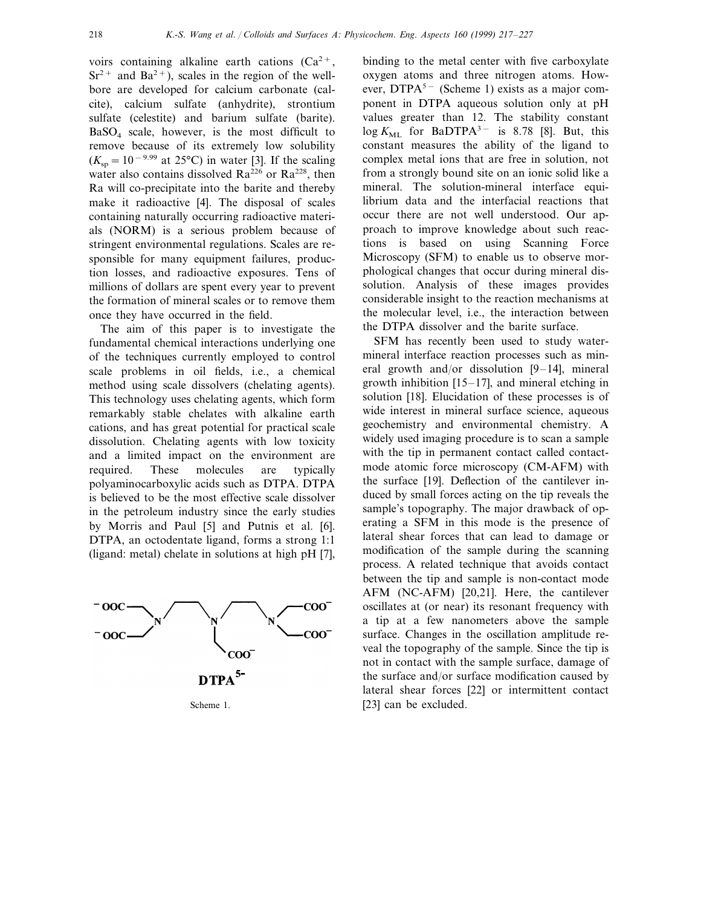voirs containing alkaline earth cations  $(Ca^{2+},$  $Sr^{2+}$  and  $Ba^{2+}$ ), scales in the region of the wellbore are developed for calcium carbonate (calcite), calcium sulfate (anhydrite), strontium sulfate (celestite) and barium sulfate (barite).  $BaSO<sub>4</sub>$  scale, however, is the most difficult to remove because of its extremely low solubility  $(K<sub>sn</sub> = 10<sup>-9.99</sup>$  at 25°C) in water [3]. If the scaling water also contains dissolved  $Ra^{226}$  or  $Ra^{228}$ , then Ra will co-precipitate into the barite and thereby make it radioactive [4]. The disposal of scales containing naturally occurring radioactive materials (NORM) is a serious problem because of stringent environmental regulations. Scales are responsible for many equipment failures, production losses, and radioactive exposures. Tens of millions of dollars are spent every year to prevent the formation of mineral scales or to remove them once they have occurred in the field.

The aim of this paper is to investigate the fundamental chemical interactions underlying one of the techniques currently employed to control scale problems in oil fields, i.e., a chemical method using scale dissolvers (chelating agents). This technology uses chelating agents, which form remarkably stable chelates with alkaline earth cations, and has great potential for practical scale dissolution. Chelating agents with low toxicity and a limited impact on the environment are required. These molecules are typically polyaminocarboxylic acids such as DTPA. DTPA is believed to be the most effective scale dissolver in the petroleum industry since the early studies by Morris and Paul [5] and Putnis et al. [6]. DTPA, an octodentate ligand, forms a strong 1:1 (ligand: metal) chelate in solutions at high pH [7],



binding to the metal center with five carboxylate oxygen atoms and three nitrogen atoms. However, DTPA<sup>5−</sup> (Scheme 1) exists as a major component in DTPA aqueous solution only at pH values greater than 12. The stability constant log  $K_{\text{ML}}$  for BaDTPA<sup>3-</sup> is 8.78 [8]. But, this constant measures the ability of the ligand to complex metal ions that are free in solution, not from a strongly bound site on an ionic solid like a mineral. The solution-mineral interface equilibrium data and the interfacial reactions that occur there are not well understood. Our approach to improve knowledge about such reactions is based on using Scanning Force Microscopy (SFM) to enable us to observe morphological changes that occur during mineral dissolution. Analysis of these images provides considerable insight to the reaction mechanisms at the molecular level, i.e., the interaction between the DTPA dissolver and the barite surface.

SFM has recently been used to study watermineral interface reaction processes such as mineral growth and/or dissolution [9–14], mineral growth inhibition [15–17], and mineral etching in solution [18]. Elucidation of these processes is of wide interest in mineral surface science, aqueous geochemistry and environmental chemistry. A widely used imaging procedure is to scan a sample with the tip in permanent contact called contactmode atomic force microscopy (CM-AFM) with the surface [19]. Deflection of the cantilever induced by small forces acting on the tip reveals the sample's topography. The major drawback of operating a SFM in this mode is the presence of lateral shear forces that can lead to damage or modification of the sample during the scanning process. A related technique that avoids contact between the tip and sample is non-contact mode AFM (NC-AFM) [20,21]. Here, the cantilever oscillates at (or near) its resonant frequency with a tip at a few nanometers above the sample surface. Changes in the oscillation amplitude reveal the topography of the sample. Since the tip is not in contact with the sample surface, damage of the surface and/or surface modification caused by lateral shear forces [22] or intermittent contact Scheme 1. [23] can be excluded.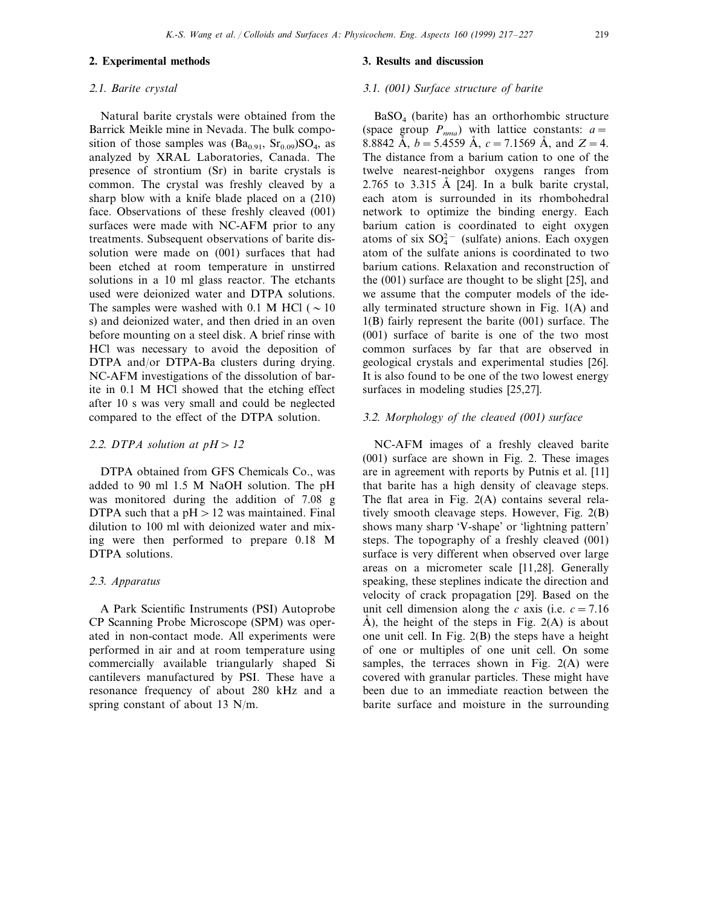#### **2. Experimental methods**

#### <sup>2</sup>.1. *Barite crystal*

Natural barite crystals were obtained from the Barrick Meikle mine in Nevada. The bulk composition of those samples was  $(Ba_{0.91}, Sr_{0.09})SO_4$ , as analyzed by XRAL Laboratories, Canada. The presence of strontium (Sr) in barite crystals is common. The crystal was freshly cleaved by a sharp blow with a knife blade placed on a (210) face. Observations of these freshly cleaved (001) surfaces were made with NC-AFM prior to any treatments. Subsequent observations of barite dissolution were made on (001) surfaces that had been etched at room temperature in unstirred solutions in a 10 ml glass reactor. The etchants used were deionized water and DTPA solutions. The samples were washed with 0.1 M HCl ( $\sim$  10 s) and deionized water, and then dried in an oven before mounting on a steel disk. A brief rinse with HCl was necessary to avoid the deposition of DTPA and/or DTPA-Ba clusters during drying. NC-AFM investigations of the dissolution of barite in 0.1 M HCl showed that the etching effect after 10 s was very small and could be neglected compared to the effect of the DTPA solution.

## 2.2. *DTPA* solution at  $pH > 12$

DTPA obtained from GFS Chemicals Co., was added to 90 ml 1.5 M NaOH solution. The pH was monitored during the addition of 7.08 g DTPA such that a  $pH > 12$  was maintained. Final dilution to 100 ml with deionized water and mixing were then performed to prepare 0.18 M DTPA solutions.

#### <sup>2</sup>.3. *Apparatus*

A Park Scientific Instruments (PSI) Autoprobe CP Scanning Probe Microscope (SPM) was operated in non-contact mode. All experiments were performed in air and at room temperature using commercially available triangularly shaped Si cantilevers manufactured by PSI. These have a resonance frequency of about 280 kHz and a spring constant of about 13 N/m.

## **3. Results and discussion**

## 3.1. (001) *Surface structure of barite*

 $BaSO<sub>4</sub>$  (barite) has an orthorhombic structure (space group  $P_{nma}$ ) with lattice constants:  $a=$ 8.8842 Å,  $b = 5.4559$  Å,  $c = 7.1569$  Å, and  $Z = 4$ . The distance from a barium cation to one of the twelve nearest-neighbor oxygens ranges from 2.765 to 3.315 Å [24]. In a bulk barite crystal, each atom is surrounded in its rhombohedral network to optimize the binding energy. Each barium cation is coordinated to eight oxygen atoms of six  $SO_4^{2-}$  (sulfate) anions. Each oxygen atom of the sulfate anions is coordinated to two barium cations. Relaxation and reconstruction of the (001) surface are thought to be slight [25], and we assume that the computer models of the ideally terminated structure shown in Fig. 1(A) and 1(B) fairly represent the barite (001) surface. The (001) surface of barite is one of the two most common surfaces by far that are observed in geological crystals and experimental studies [26]. It is also found to be one of the two lowest energy surfaces in modeling studies [25,27].

## <sup>3</sup>.2. *Morphology of the clea*6*ed* (001) *surface*

NC-AFM images of a freshly cleaved barite (001) surface are shown in Fig. 2. These images are in agreement with reports by Putnis et al. [11] that barite has a high density of cleavage steps. The flat area in Fig. 2(A) contains several relatively smooth cleavage steps. However, Fig. 2(B) shows many sharp 'V-shape' or 'lightning pattern' steps. The topography of a freshly cleaved (001) surface is very different when observed over large areas on a micrometer scale [11,28]. Generally speaking, these steplines indicate the direction and velocity of crack propagation [29]. Based on the unit cell dimension along the *c* axis (i.e.  $c = 7.16$ )  $\check{A}$ ), the height of the steps in Fig. 2(A) is about one unit cell. In Fig. 2(B) the steps have a height of one or multiples of one unit cell. On some samples, the terraces shown in Fig. 2(A) were covered with granular particles. These might have been due to an immediate reaction between the barite surface and moisture in the surrounding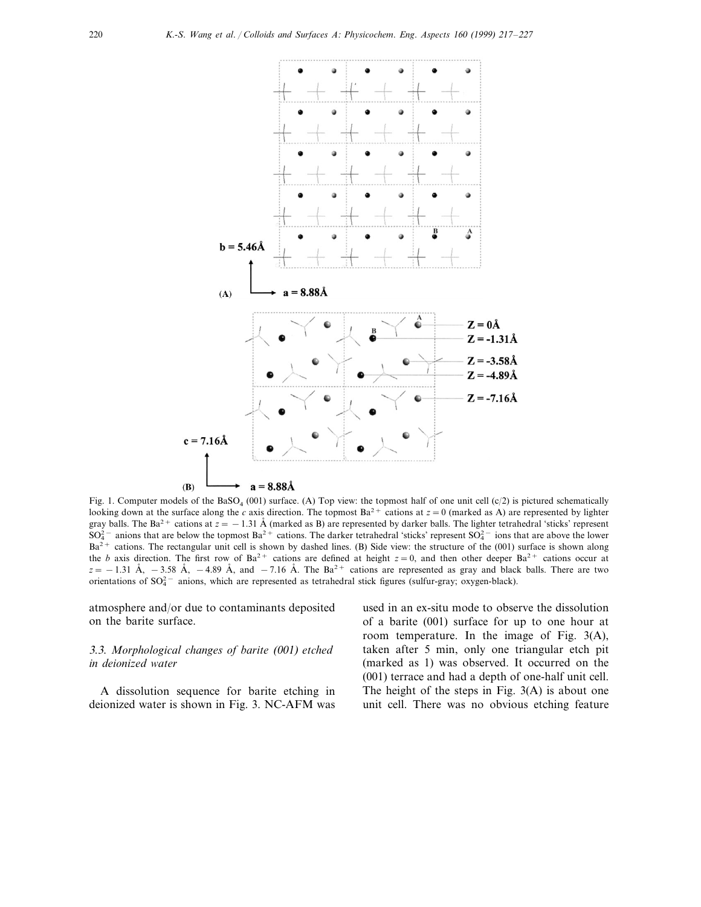

Fig. 1. Computer models of the BaSO<sub>4</sub> (001) surface. (A) Top view: the topmost half of one unit cell (c/2) is pictured schematically looking down at the surface along the *c* axis direction. The topmost  $Ba^{2+}$  cations at  $z = 0$  (marked as A) are represented by lighter gray balls. The Ba<sup>2+</sup> cations at  $z = -1.31 \text{ Å}$  (marked as B) are represented by darker balls. The lighter tetrahedral 'sticks' represent  $SO_4^2$  – anions that are below the topmost  $Ba^2$  + cations. The darker tetrahedral 'sticks' represent  $SO_4^2$  – ions that are above the lower Ba<sup>2+</sup> cations. The rectangular unit cell is shown by dashed lines. (B) Side view: the structure of the (001) surface is shown along the *b* axis direction. The first row of Ba<sup>2+</sup> cations are defined at height  $z=0$ , and then other deeper Ba<sup>2+</sup> cations occur at  $z = -1.31 \text{ Å}$ ,  $-3.58 \text{ Å}$ ,  $-4.89 \text{ Å}$ , and  $-7.16 \text{ Å}$ . The Ba<sup>2+</sup> cations are represented as gray and black balls. There are two orientations of SO<sub>4</sub><sup>−</sup> anions, which are represented as tetrahedral stick figures (sulfur-gray; oxygen-black).

atmosphere and/or due to contaminants deposited on the barite surface.

# 3.3. *Morphological changes of barite* (001) *etched in deionized water*

A dissolution sequence for barite etching in deionized water is shown in Fig. 3. NC-AFM was used in an ex-situ mode to observe the dissolution of a barite (001) surface for up to one hour at room temperature. In the image of Fig. 3(A), taken after 5 min, only one triangular etch pit (marked as 1) was observed. It occurred on the (001) terrace and had a depth of one-half unit cell. The height of the steps in Fig. 3(A) is about one unit cell. There was no obvious etching feature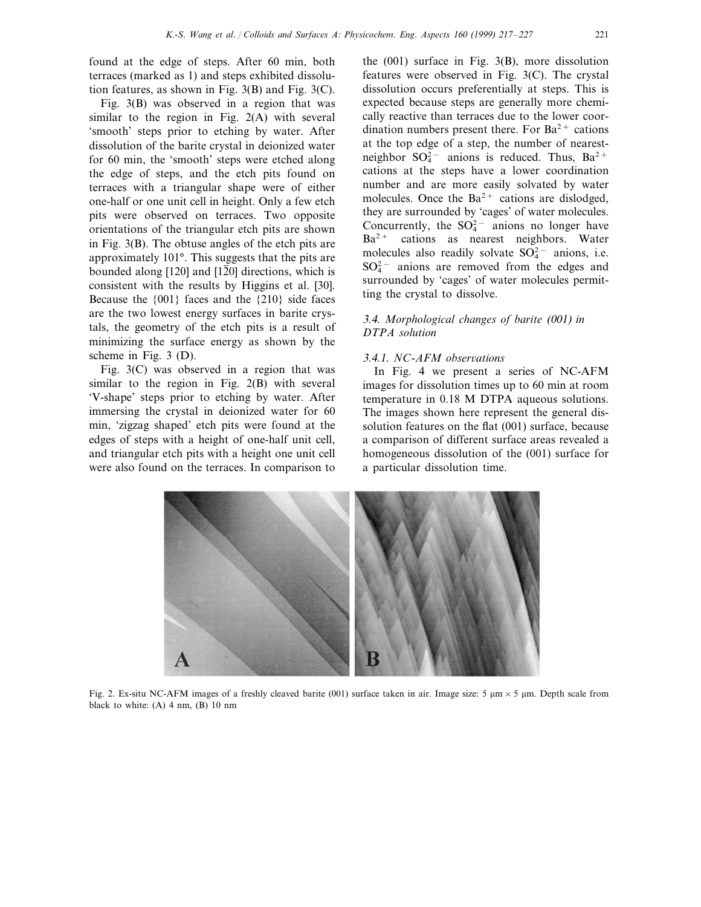found at the edge of steps. After 60 min, both terraces (marked as 1) and steps exhibited dissolution features, as shown in Fig. 3(B) and Fig. 3(C).

Fig. 3(B) was observed in a region that was similar to the region in Fig. 2(A) with several 'smooth' steps prior to etching by water. After dissolution of the barite crystal in deionized water for 60 min, the 'smooth' steps were etched along the edge of steps, and the etch pits found on terraces with a triangular shape were of either one-half or one unit cell in height. Only a few etch pits were observed on terraces. Two opposite orientations of the triangular etch pits are shown in Fig. 3(B). The obtuse angles of the etch pits are approximately 101°. This suggests that the pits are bounded along [120] and [1 $\overline{2}0$ ] directions, which is consistent with the results by Higgins et al. [30]. Because the {001} faces and the {210} side faces are the two lowest energy surfaces in barite crystals, the geometry of the etch pits is a result of minimizing the surface energy as shown by the scheme in Fig. 3 (D).

Fig. 3(C) was observed in a region that was similar to the region in Fig. 2(B) with several 'V-shape' steps prior to etching by water. After immersing the crystal in deionized water for 60 min, 'zigzag shaped' etch pits were found at the edges of steps with a height of one-half unit cell, and triangular etch pits with a height one unit cell were also found on the terraces. In comparison to

the (001) surface in Fig. 3(B), more dissolution features were observed in Fig. 3(C). The crystal dissolution occurs preferentially at steps. This is expected because steps are generally more chemically reactive than terraces due to the lower coordination numbers present there. For  $Ba^{2+}$  cations at the top edge of a step, the number of nearestneighbor  $SO_4^{2-}$  anions is reduced. Thus,  $Ba^{2+}$ cations at the steps have a lower coordination number and are more easily solvated by water molecules. Once the  $Ba^{2+}$  cations are dislodged, they are surrounded by 'cages' of water molecules. Concurrently, the  $SO_4^{2-}$  anions no longer have  $Ba<sup>2+</sup>$  cations as nearest neighbors. Water molecules also readily solvate  $SO_4^{2-}$  anions, i.e.  $SO_4^{2-}$  anions are removed from the edges and surrounded by 'cages' of water molecules permitting the crystal to dissolve.

# 3.4. *Morphological changes of barite* (001) *in DTPA solution*

# 3.4.1. *NC-AFM* observations

In Fig. 4 we present a series of NC-AFM images for dissolution times up to 60 min at room temperature in 0.18 M DTPA aqueous solutions. The images shown here represent the general dissolution features on the flat (001) surface, because a comparison of different surface areas revealed a homogeneous dissolution of the (001) surface for a particular dissolution time.



Fig. 2. Ex-situ NC-AFM images of a freshly cleaved barite (001) surface taken in air. Image size: 5  $\mu$ m × 5  $\mu$ m. Depth scale from black to white:  $(A)$  4 nm,  $(B)$  10 nm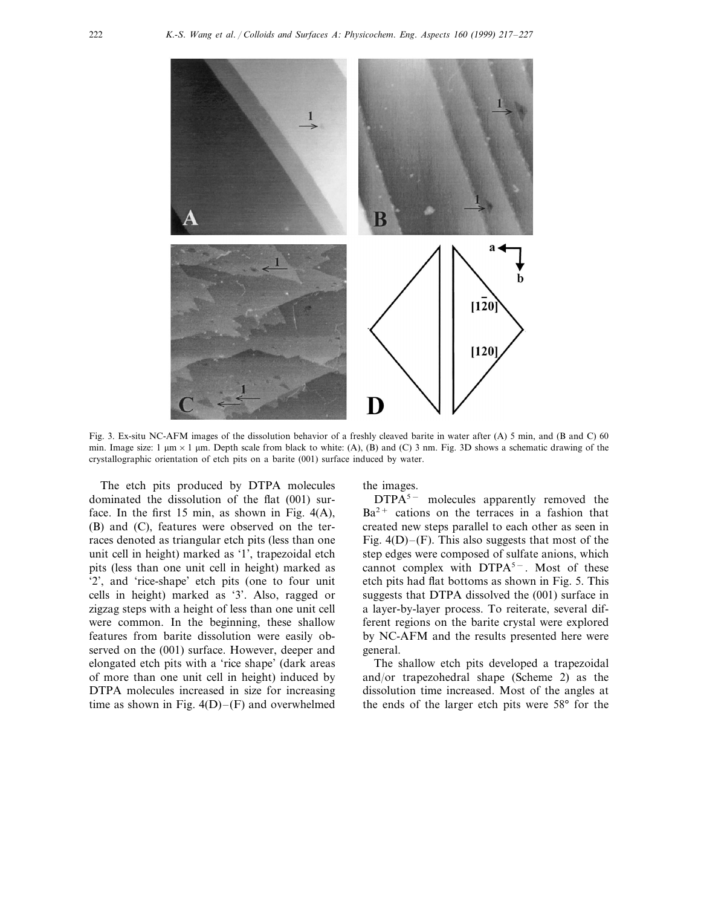

Fig. 3. Ex-situ NC-AFM images of the dissolution behavior of a freshly cleaved barite in water after (A) 5 min, and (B and C) 60 min. Image size:  $1 \mu m \times 1 \mu m$ . Depth scale from black to white: (A), (B) and (C) 3 nm. Fig. 3D shows a schematic drawing of the crystallographic orientation of etch pits on a barite (001) surface induced by water.

The etch pits produced by DTPA molecules dominated the dissolution of the flat (001) surface. In the first 15 min, as shown in Fig.  $4(A)$ , (B) and (C), features were observed on the terraces denoted as triangular etch pits (less than one unit cell in height) marked as '1', trapezoidal etch pits (less than one unit cell in height) marked as '2', and 'rice-shape' etch pits (one to four unit cells in height) marked as '3'. Also, ragged or zigzag steps with a height of less than one unit cell were common. In the beginning, these shallow features from barite dissolution were easily observed on the (001) surface. However, deeper and elongated etch pits with a 'rice shape' (dark areas of more than one unit cell in height) induced by DTPA molecules increased in size for increasing time as shown in Fig.  $4(D)$ –(F) and overwhelmed

the images.

DTPA<sup>5−</sup> molecules apparently removed the  $Ba<sup>2+</sup>$  cations on the terraces in a fashion that created new steps parallel to each other as seen in Fig.  $4(D)$ –(F). This also suggests that most of the step edges were composed of sulfate anions, which cannot complex with DTPA<sup>5−</sup>. Most of these etch pits had flat bottoms as shown in Fig. 5. This suggests that DTPA dissolved the (001) surface in a layer-by-layer process. To reiterate, several different regions on the barite crystal were explored by NC-AFM and the results presented here were general.

The shallow etch pits developed a trapezoidal and/or trapezohedral shape (Scheme 2) as the dissolution time increased. Most of the angles at the ends of the larger etch pits were 58° for the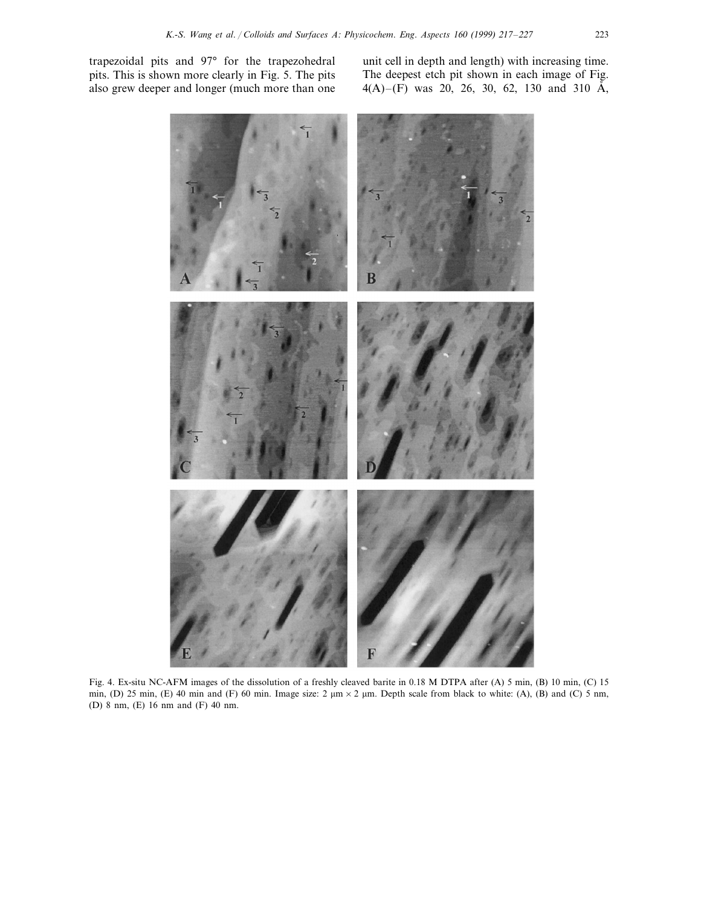trapezoidal pits and 97° for the trapezohedral pits. This is shown more clearly in Fig. 5. The pits also grew deeper and longer (much more than one

unit cell in depth and length) with increasing time. The deepest etch pit shown in each image of Fig.  $4(A)$ –(F) was 20, 26, 30, 62, 130 and 310 Å,



Fig. 4. Ex-situ NC-AFM images of the dissolution of a freshly cleaved barite in 0.18 M DTPA after (A) 5 min, (B) 10 min, (C) 15 min, (D) 25 min, (E) 40 min and (F) 60 min. Image size:  $2 \mu m \times 2 \mu m$ . Depth scale from black to white: (A), (B) and (C) 5 nm, (D) 8 nm, (E) 16 nm and (F) 40 nm.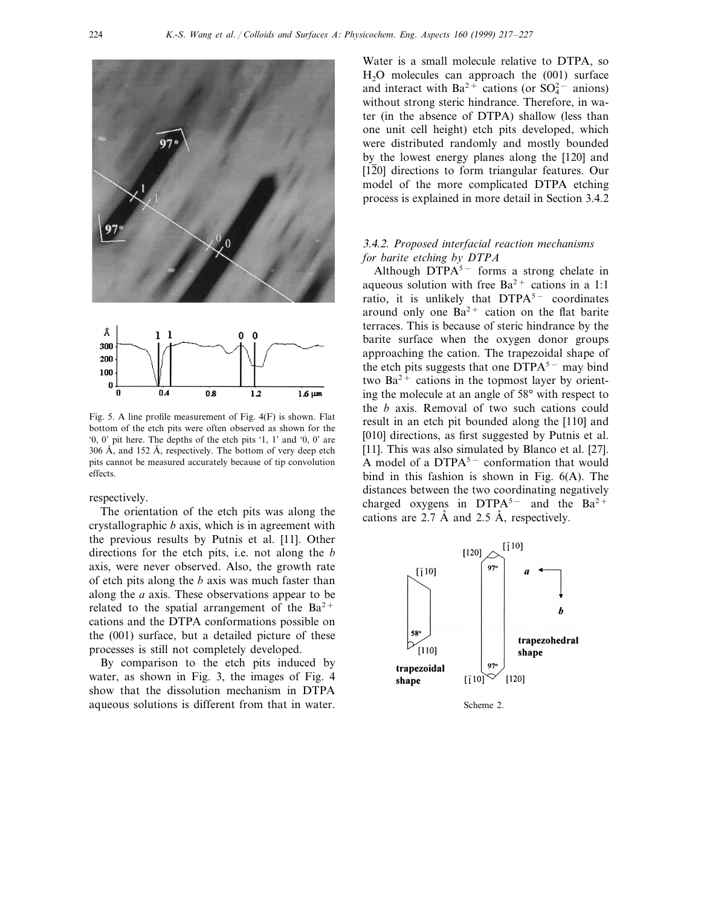

Fig. 5. A line profile measurement of Fig. 4(F) is shown. Flat bottom of the etch pits were often observed as shown for the '0, 0' pit here. The depths of the etch pits '1, 1' and '0, 0' are  $306$  Å, and  $152$  Å, respectively. The bottom of very deep etch pits cannot be measured accurately because of tip convolution effects.

respectively.

The orientation of the etch pits was along the crystallographic *b* axis, which is in agreement with the previous results by Putnis et al. [11]. Other directions for the etch pits, i.e. not along the *b* axis, were never observed. Also, the growth rate of etch pits along the *b* axis was much faster than along the *a* axis. These observations appear to be related to the spatial arrangement of the  $Ba^{2+}$ cations and the DTPA conformations possible on the (001) surface, but a detailed picture of these processes is still not completely developed.

By comparison to the etch pits induced by water, as shown in Fig. 3, the images of Fig. 4 show that the dissolution mechanism in DTPA aqueous solutions is different from that in water. Scheme 2.

Water is a small molecule relative to DTPA, so  $H<sub>2</sub>O$  molecules can approach the  $(001)$  surface and interact with Ba<sup>2+</sup> cations (or  $SO_4^{2-}$  anions) without strong steric hindrance. Therefore, in water (in the absence of DTPA) shallow (less than one unit cell height) etch pits developed, which were distributed randomly and mostly bounded by the lowest energy planes along the [120] and  $[1\overline{2}0]$  directions to form triangular features. Our model of the more complicated DTPA etching process is explained in more detail in Section 3.4.2

# 3.4.2. *Proposed interfacial reaction mechanisms for barite etching by DTPA*

Although DTP $A<sup>5−</sup>$  forms a strong chelate in aqueous solution with free  $Ba^{2+}$  cations in a 1:1 ratio, it is unlikely that DTPA<sup>5−</sup> coordinates around only one  $Ba^{2+}$  cation on the flat barite terraces. This is because of steric hindrance by the barite surface when the oxygen donor groups approaching the cation. The trapezoidal shape of the etch pits suggests that one DTPA<sup>5</sup><sup>−</sup> may bind two  $Ba^{2+}$  cations in the topmost layer by orienting the molecule at an angle of 58° with respect to the *b* axis. Removal of two such cations could result in an etch pit bounded along the [110] and [010] directions, as first suggested by Putnis et al. [11]. This was also simulated by Blanco et al. [27]. A model of a DTPA<sup>5−</sup> conformation that would bind in this fashion is shown in Fig. 6(A). The distances between the two coordinating negatively charged oxygens in DTPA<sup>5−</sup> and the Ba<sup>2+</sup> cations are 2.7 Å and 2.5 Å, respectively.

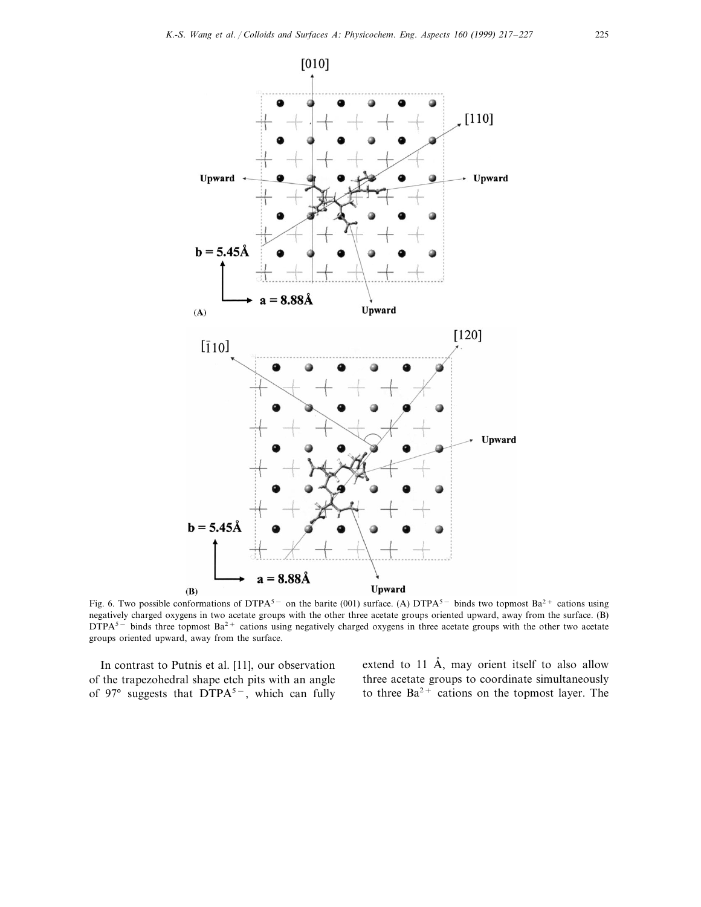

Fig. 6. Two possible conformations of DTPA<sup>5−</sup> on the barite (001) surface. (A) DTPA<sup>5−</sup> binds two topmost Ba<sup>2+</sup> cations using negatively charged oxygens in two acetate groups with the other three acetate groups oriented upward, away from the surface. (B) DTPA<sup>5−</sup> binds three topmost Ba<sup>2+</sup> cations using negatively charged oxygens in three acetate groups with the other two acetate groups oriented upward, away from the surface.

In contrast to Putnis et al. [11], our observation of the trapezohedral shape etch pits with an angle of 97° suggests that DTPA<sup>5-</sup>, which can fully extend to  $11$  Å, may orient itself to also allow three acetate groups to coordinate simultaneously to three  $Ba^{2+}$  cations on the topmost layer. The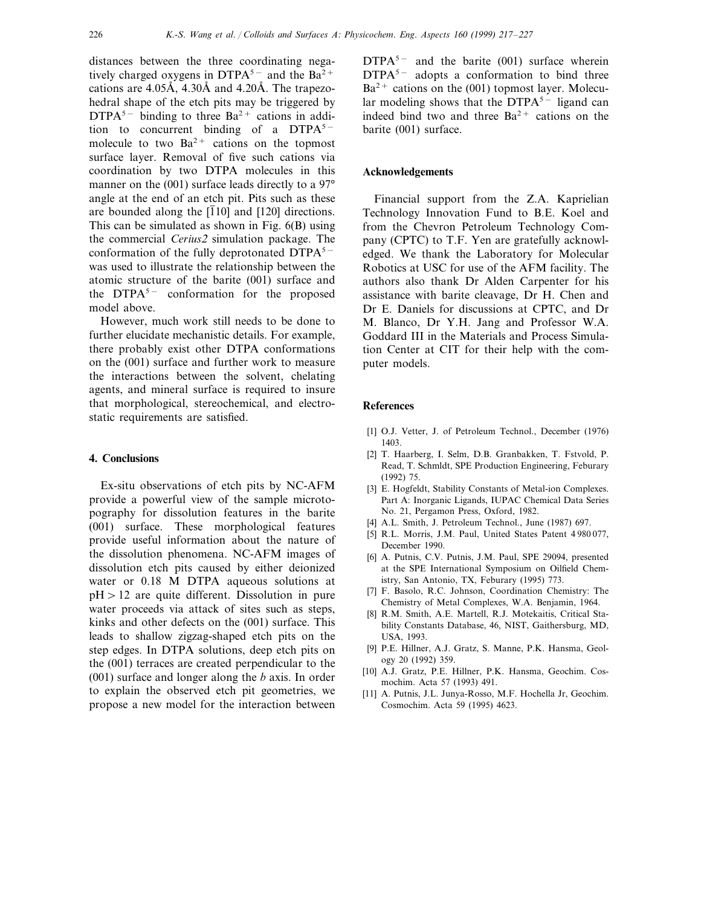distances between the three coordinating negatively charged oxygens in DTPA<sup>5−</sup> and the Ba<sup>2+</sup> cations are  $4.05\text{\AA}$ ,  $4.30\text{\AA}$  and  $4.20\text{\AA}$ . The trapezohedral shape of the etch pits may be triggered by  $DTPA<sup>5−</sup>$  binding to three Ba<sup>2+</sup> cations in addition to concurrent binding of a  $DTPA<sup>5−</sup>$ molecule to two  $Ba^{2+}$  cations on the topmost surface layer. Removal of five such cations via coordination by two DTPA molecules in this manner on the (001) surface leads directly to a 97<sup>°</sup> angle at the end of an etch pit. Pits such as these are bounded along the  $[110]$  and  $[120]$  directions. This can be simulated as shown in Fig. 6(B) using the commercial *Cerius*<sup>2</sup> simulation package. The conformation of the fully deprotonated DTPA5<sup>−</sup> was used to illustrate the relationship between the atomic structure of the barite (001) surface and the DTPA5<sup>−</sup> conformation for the proposed model above.

However, much work still needs to be done to further elucidate mechanistic details. For example, there probably exist other DTPA conformations on the (001) surface and further work to measure the interactions between the solvent, chelating agents, and mineral surface is required to insure that morphological, stereochemical, and electrostatic requirements are satisfied.

## **4. Conclusions**

Ex-situ observations of etch pits by NC-AFM provide a powerful view of the sample microtopography for dissolution features in the barite (001) surface. These morphological features provide useful information about the nature of the dissolution phenomena. NC-AFM images of dissolution etch pits caused by either deionized water or 0.18 M DTPA aqueous solutions at  $pH > 12$  are quite different. Dissolution in pure water proceeds via attack of sites such as steps, kinks and other defects on the (001) surface. This leads to shallow zigzag-shaped etch pits on the step edges. In DTPA solutions, deep etch pits on the (001) terraces are created perpendicular to the (001) surface and longer along the *b* axis. In order to explain the observed etch pit geometries, we propose a new model for the interaction between

 $DTPA<sup>5−</sup>$  and the barite (001) surface wherein DTPA<sup>5−</sup> adopts a conformation to bind three  $Ba^{2+}$  cations on the (001) topmost layer. Molecular modeling shows that the  $DTPA<sup>5−</sup>$  ligand can indeed bind two and three  $Ba^{2+}$  cations on the barite (001) surface.

## **Acknowledgements**

Financial support from the Z.A. Kaprielian Technology Innovation Fund to B.E. Koel and from the Chevron Petroleum Technology Company (CPTC) to T.F. Yen are gratefully acknowledged. We thank the Laboratory for Molecular Robotics at USC for use of the AFM facility. The authors also thank Dr Alden Carpenter for his assistance with barite cleavage, Dr H. Chen and Dr E. Daniels for discussions at CPTC, and Dr M. Blanco, Dr Y.H. Jang and Professor W.A. Goddard III in the Materials and Process Simulation Center at CIT for their help with the computer models.

#### **References**

- [1] O.J. Vetter, J. of Petroleum Technol., December (1976) 1403.
- [2] T. Haarberg, I. Selm, D.B. Granbakken, T. Fstvold, P. Read, T. Schmldt, SPE Production Engineering, Feburary (1992) 75.
- [3] E. Hogfeldt, Stability Constants of Metal-ion Complexes. Part A: Inorganic Ligands, IUPAC Chemical Data Series No. 21, Pergamon Press, Oxford, 1982.
- [4] A.L. Smith, J. Petroleum Technol., June (1987) 697.
- [5] R.L. Morris, J.M. Paul, United States Patent 4 980 077, December 1990.
- [6] A. Putnis, C.V. Putnis, J.M. Paul, SPE 29094, presented at the SPE International Symposium on Oilfield Chemistry, San Antonio, TX, Feburary (1995) 773.
- [7] F. Basolo, R.C. Johnson, Coordination Chemistry: The Chemistry of Metal Complexes, W.A. Benjamin, 1964.
- [8] R.M. Smith, A.E. Martell, R.J. Motekaitis, Critical Stability Constants Database, 46, NIST, Gaithersburg, MD, USA, 1993.
- [9] P.E. Hillner, A.J. Gratz, S. Manne, P.K. Hansma, Geology 20 (1992) 359.
- [10] A.J. Gratz, P.E. Hillner, P.K. Hansma, Geochim. Cosmochim. Acta 57 (1993) 491.
- [11] A. Putnis, J.L. Junya-Rosso, M.F. Hochella Jr, Geochim. Cosmochim. Acta 59 (1995) 4623.